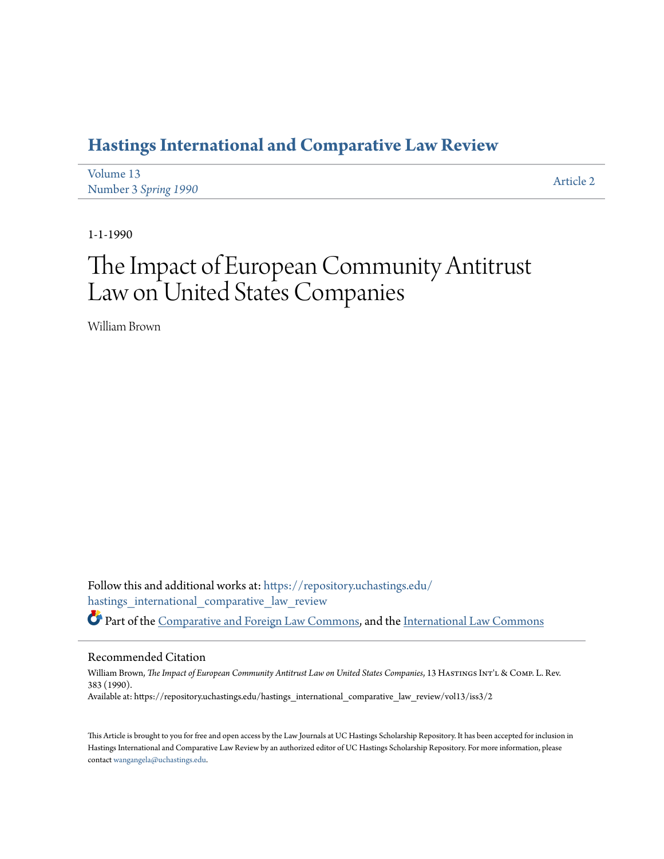# **[Hastings International and Comparative Law Review](https://repository.uchastings.edu/hastings_international_comparative_law_review?utm_source=repository.uchastings.edu%2Fhastings_international_comparative_law_review%2Fvol13%2Fiss3%2F2&utm_medium=PDF&utm_campaign=PDFCoverPages)**

| Volume 13            | Article 2 |
|----------------------|-----------|
| Number 3 Spring 1990 |           |

1-1-1990

# The Impact of European Community Antitrust Law on United States Companies

William Brown

Follow this and additional works at: [https://repository.uchastings.edu/](https://repository.uchastings.edu/hastings_international_comparative_law_review?utm_source=repository.uchastings.edu%2Fhastings_international_comparative_law_review%2Fvol13%2Fiss3%2F2&utm_medium=PDF&utm_campaign=PDFCoverPages) [hastings\\_international\\_comparative\\_law\\_review](https://repository.uchastings.edu/hastings_international_comparative_law_review?utm_source=repository.uchastings.edu%2Fhastings_international_comparative_law_review%2Fvol13%2Fiss3%2F2&utm_medium=PDF&utm_campaign=PDFCoverPages) Part of the [Comparative and Foreign Law Commons](http://network.bepress.com/hgg/discipline/836?utm_source=repository.uchastings.edu%2Fhastings_international_comparative_law_review%2Fvol13%2Fiss3%2F2&utm_medium=PDF&utm_campaign=PDFCoverPages), and the [International Law Commons](http://network.bepress.com/hgg/discipline/609?utm_source=repository.uchastings.edu%2Fhastings_international_comparative_law_review%2Fvol13%2Fiss3%2F2&utm_medium=PDF&utm_campaign=PDFCoverPages)

# Recommended Citation

William Brown, *The Impact of European Community Antitrust Law on United States Companies*, 13 HASTINGS INT'L & COMP. L. Rev. 383 (1990). Available at: https://repository.uchastings.edu/hastings\_international\_comparative\_law\_review/vol13/iss3/2

This Article is brought to you for free and open access by the Law Journals at UC Hastings Scholarship Repository. It has been accepted for inclusion in Hastings International and Comparative Law Review by an authorized editor of UC Hastings Scholarship Repository. For more information, please contact [wangangela@uchastings.edu](mailto:wangangela@uchastings.edu).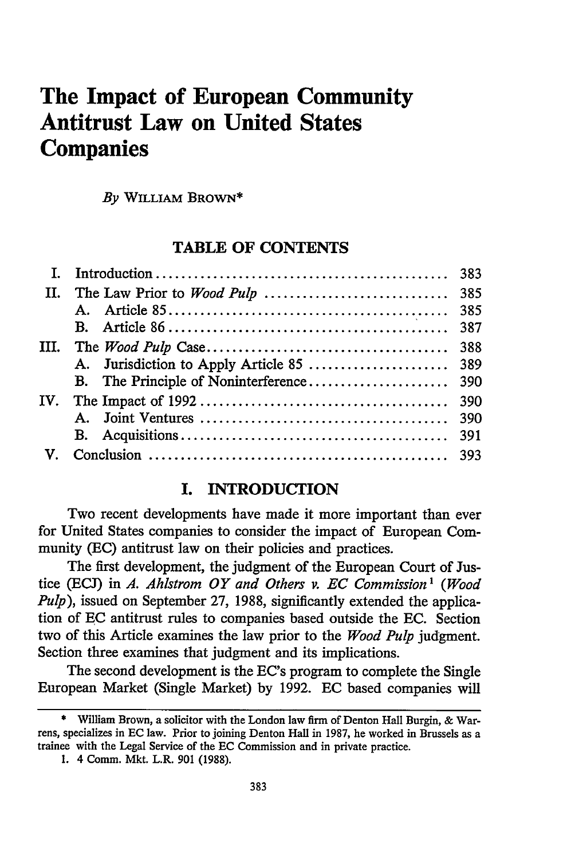# **The Impact of European Community Antitrust Law on United States Companies**

*By* WILLIAM BROWN\*

# TABLE **OF CONTENTS**

| П.           |     |
|--------------|-----|
|              |     |
|              |     |
| III.         |     |
|              |     |
|              |     |
| IV.          |     |
|              | 390 |
|              |     |
| $\mathbf{V}$ |     |
|              |     |

# **I.** INTRODUCTION

Two recent developments have made it more important than ever for United States companies to consider the impact of European Community (EC) antitrust law on their policies and practices.

The first development, the judgment of the European Court of Justice **(ECJ)** in *A. Ahistrom OY and Others v. EC Commission 1 (Wood Pulp),* issued on September **27,** 1988, significantly extended the application of **EC** antitrust rules to companies based outside the **EC.** Section two of this Article examines the law prior to the *Wood Pulp* judgment. Section three examines that judgment and its implications.

The second development is the EC's program to complete the Single European Market (Single Market) **by** 1992. **EC** based companies will

<sup>\*</sup> William Brown, a solicitor with the London law firm of Denton Hall Burgin, & Warrens, specializes in **EC** law. Prior to joining Denton Hall in 1987, he worked in Brussels as a trainee with the Legal Service of the **EC** Commission and in private practice.

**<sup>1.</sup>** 4 Comm. Mkt. L.R. 901 (1988).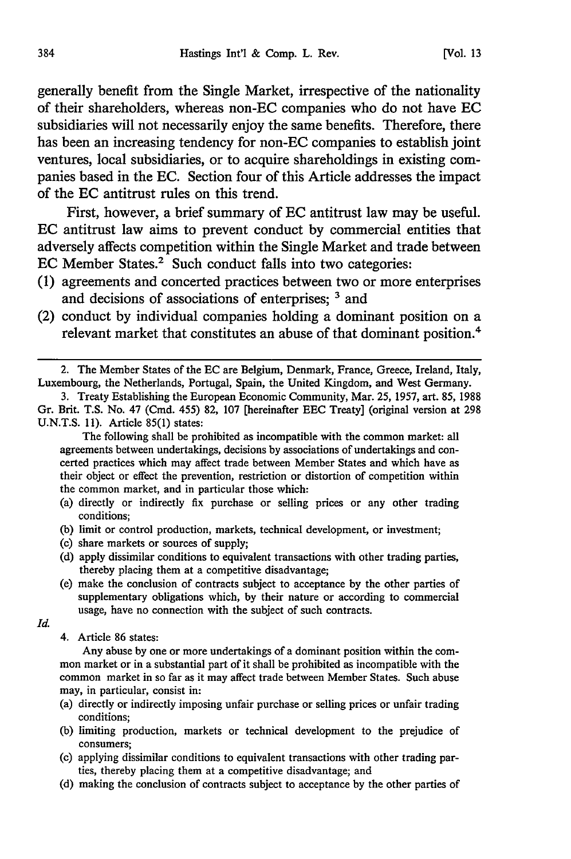generally benefit from the Single Market, irrespective of the nationality of their shareholders, whereas non-EC companies who do not have **EC** subsidiaries will not necessarily enjoy the same benefits. Therefore, there has been an increasing tendency for non-EC companies to establish joint ventures, local subsidiaries, or to acquire shareholdings in existing companies based in the **EC.** Section four of this Article addresses the impact of the **EC** antitrust rules on this trend.

First, however, a brief summary of **EC** antitrust law may be useful. **EC** antitrust law aims to prevent conduct **by** commercial entities that adversely affects competition within the Single Market and trade between **EC** Member States.2 Such conduct falls into two categories:

- **(1)** agreements and concerted practices between two or more enterprises and decisions of associations of enterprises; <sup>3</sup> and
- (2) conduct **by** individual companies holding a dominant position on a relevant market that constitutes an abuse of that dominant position.4

The following shall be prohibited as incompatible with the common market: all agreements between undertakings, decisions by associations of undertakings and concerted practices which may affect trade between Member States and which have as their object or effect the prevention, restriction or distortion of competition within the common market, and in particular those which:

- (a) directly or indirectly fix purchase or selling prices or any other trading conditions;
- (b) limit or control production, markets, technical development, or investment;
- (c) share markets or sources of supply;
- (d) apply dissimilar conditions to equivalent transactions with other trading parties, thereby placing them at a competitive disadvantage;
- (e) make the conclusion of contracts subject to acceptance by the other parties of supplementary obligations which, by their nature or according to commercial usage, have no connection with the subject of such contracts.

*Id.*

4. Article 86 states:

Any abuse by one or more undertakings of a dominant position within the common market or in a substantial part of it shall be prohibited as incompatible with the common market in so far as it may affect trade between Member States. Such abuse may, in particular, consist in:

- (a) directly or indirectly imposing unfair purchase or selling prices or unfair trading conditions;
- (b) limiting production, markets or technical development to the prejudice of consumers;
- (c) applying dissimilar conditions to equivalent transactions with other trading parties, thereby placing them at a competitive disadvantage; and
- (d) making the conclusion of contracts subject to acceptance by the other parties of

<sup>2.</sup> The Member States of the EC are Belgium, Denmark, France, Greece, Ireland, Italy, Luxembourg, the Netherlands, Portugal, Spain, the United Kingdom, and West Germany.

<sup>3.</sup> Treaty Establishing the European Economic Community, Mar. 25, 1957, art. 85, 1988 Gr. Brit. T.S. No. 47 (Cmd. 455) 82, 107 [hereinafter EEC Treaty] (original version at 298 U.N.T.S. 11). Article 85(1) states: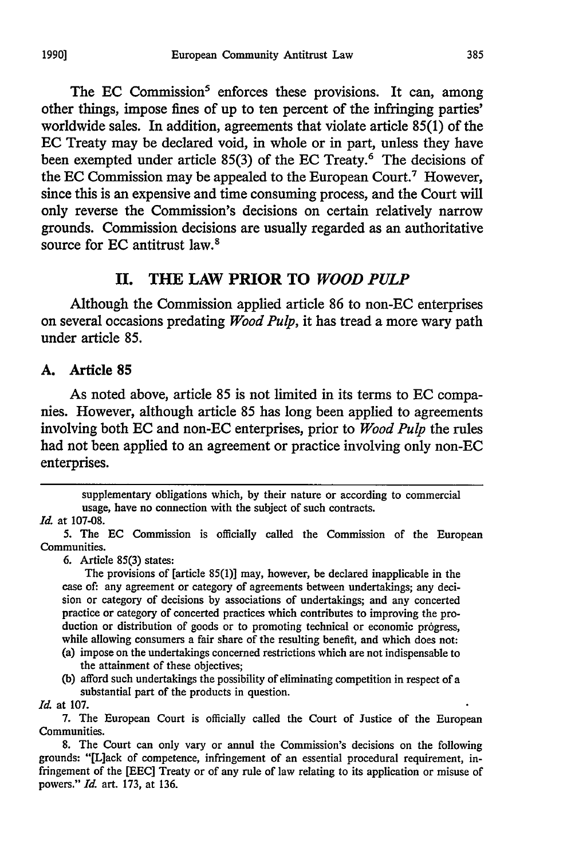The EC Commission<sup>5</sup> enforces these provisions. It can, among other things, impose fines of up to ten percent of the infringing parties' worldwide sales. In addition, agreements that violate article 85(1) of the EC Treaty may be declared void, in whole or in part, unless they have been exempted under article 85(3) of the EC Treaty.<sup>6</sup> The decisions of the **EC** Commission may be appealed to the European Court.7 However, since this is an expensive and time consuming process, and the Court will only reverse the Commission's decisions on certain relatively narrow grounds. Commission decisions are usually regarded as an authoritative source for EC antitrust law.<sup>8</sup>

# **II. THE LAW PRIOR TO** *WOOD PULP*

Although the Commission applied article 86 to non-EC enterprises on several occasions predating *Wood Pulp,* it has tread a more wary path under article 85.

#### **A.** Article **85**

As noted above, article **85** is not limited in its terms to **EC** companies. However, although article 85 has long been applied to agreements involving both EC and non-EC enterprises, prior to *Wood Pulp* the rules had not been applied to an agreement or practice involving only non-EC enterprises.

supplementary obligations which, by their nature or according to commercial usage, have no connection with the subject of such contracts.

#### *Id.* at 107-08.

6. Article 85(3) states:

The provisions of [article 85(1)] may, however, be declared inapplicable in the case of: any agreement or category of agreements between undertakings; any decision or category of decisions by associations of undertakings; and any concerted practice or category of concerted practices which contributes to improving the production or distribution of goods or to promoting technical or economic progress, while allowing consumers a fair share of the resulting benefit, and which does not:

- (a) impose on the undertakings concerned restrictions which are not indispensable to the attainment of these objectives;
- (b) afford such undertakings the possibility of eliminating competition in respect of a substantial part of the products in question.
- *Id.* at 107.

<sup>5.</sup> The **EC** Commission is officially called the Commission of the European Communities.

<sup>7.</sup> The European Court is officially called the Court of Justice of the European Communities.

<sup>8.</sup> The Court can only vary or annul the Commission's decisions on the following grounds: "[L]ack of competence, infringement of an essential procedural requirement, infringement of the [EEC] Treaty or of any rule of law relating to its application or misuse of powers." *Id.* art. 173, at 136.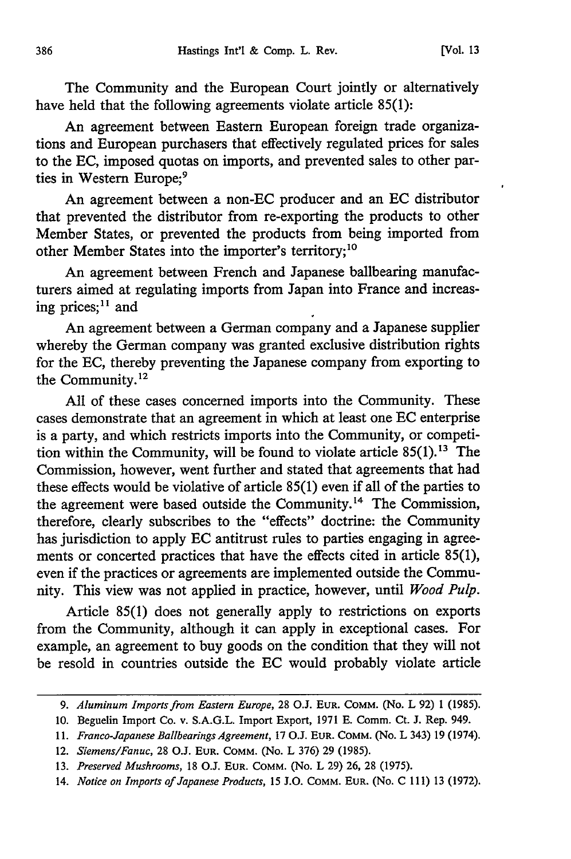The Community and the European Court jointly or alternatively have held that the following agreements violate article 85(1):

An agreement between Eastern European foreign trade organizations and European purchasers that effectively regulated prices for sales to the EC, imposed quotas on imports, and prevented sales to other parties in Western Europe;<sup>9</sup>

An agreement between a non-EC producer and an EC distributor that prevented the distributor from re-exporting the products to other Member States, or prevented the products from being imported from other Member States into the importer's territory;<sup>10</sup>

An agreement between French and Japanese ballbearing manufacturers aimed at regulating imports from Japan into France and increasing prices; $11$  and

An agreement between a German company and a Japanese supplier whereby the German company was granted exclusive distribution rights for the EC, thereby preventing the Japanese company from exporting to the Community.12

All of these cases concerned imports into the Community. These cases demonstrate that an agreement in which at least one EC enterprise is a party, and which restricts imports into the Community, or competition within the Community, will be found to violate article  $85(1)$ .<sup>13</sup> The Commission, however, went further and stated that agreements that had these effects would be violative of article 85(1) even if all of the parties to the agreement were based outside the Community.<sup>14</sup> The Commission, therefore, clearly subscribes to the "effects" doctrine: the Community has jurisdiction to apply EC antitrust rules to parties engaging in agreements or concerted practices that have the effects cited in article 85(1), even if the practices or agreements are implemented outside the Community. This view was not applied in practice, however, until *Wood Pulp.*

Article 85(1) does not generally apply to restrictions on exports from the Community, although it can apply in exceptional cases. For example, an agreement to buy goods on the condition that they will not be resold in countries outside the EC would probably violate article

<sup>9.</sup> *Aluminum Imports from Eastern Europe,* 28 O.J. **EUR.** COMM. (No. L 92) **1** (1985).

<sup>10.</sup> Beguelin Import Co. v. S.A.G.L. Import Export, 1971 E. Comm. Ct. J. Rep. 949.

<sup>11.</sup> *Franco-Japanese Ballbearings Agreement,* 17 O.J. **EUR.** COMM. (No. L 343) 19 (1974).

<sup>12.</sup> *Siemens/Fanuc,* 28 O.J. **EUR.** COMM. (No. L 376) 29 (1985).

<sup>13.</sup> *Preserved Mushrooms,* 18 O.J. EUR. COMM. (No. L 29) 26, 28 (1975).

<sup>14.</sup> *Notice on Imports of Japanese Products, 15* J.O. COMM. **EUR.** (No. C 111) 13 (1972).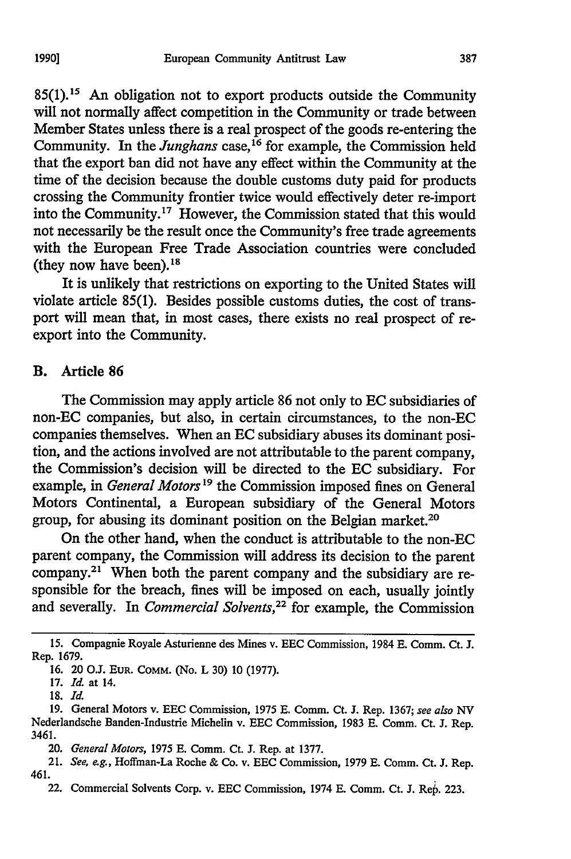**85(l). <sup>1</sup> 1** An obligation not to export products outside the Community will not normally affect competition in the Community or trade between Member States unless there is a real prospect of the goods re-entering the Community. In the *Junghans* case,<sup>16</sup> for example, the Commission held that the export ban did not have any effect within the Community at the time of the decision because the double customs duty paid for products crossing the Community frontier twice would effectively deter re-import into the Community.<sup>17</sup> However, the Commission stated that this would not necessarily be the result once the Community's free trade agreements with the European Free Trade Association countries were concluded (they now have been). $18$ 

It is unlikely that restrictions on exporting to the United States will violate article 85(1). Besides possible customs duties, the cost of transport will mean that, in most cases, there exists no real prospect of reexport into the Community.

#### B. Article **86**

The Commission may apply article **86** not only to **EC** subsidiaries of non-EC companies, but also, in certain circumstances, to the non-EC companies themselves. When an **EC** subsidiary abuses its dominant position, and the actions involved are not attributable to the parent company, the Commission's decision will be directed to the **EC** subsidiary. For example, in *General Motors*<sup>19</sup> the Commission imposed fines on General Motors Continental, a European subsidiary of the General Motors group, for abusing its dominant position on the Belgian market.<sup>20</sup>

On the other hand, when the conduct is attributable to the non-EC parent company, the Commission will address its decision to the parent company.<sup>21</sup> When both the parent company and the subsidiary are responsible for the breach, fines will be imposed on each, usually jointly and severally. In *Commercial Solvents,22* for example, the Commission

**<sup>15.</sup>** Compagnie Royale Asturienne des Mines v. **EEC** Commission, 1984 **E.** Comm. Ct. **J.** Rep. **1679.**

**<sup>16.</sup>** 20 **OJ. EUR. COMM.** (No. L **30) 10 (1977).**

**<sup>17.</sup>** *Id* at 14.

**<sup>18.</sup>** *Id.*

**<sup>19.</sup>** General Motors v. **EEC** Commission, **1975** E. Comm. Ct. **J.** Rep. **1367;** see also *NV* Nederlandsche Banden-Industrie Michelin v. EEC Commission, 1983 E. Comm. Ct. **J.** Rep. 3461.

<sup>20.</sup> *General Motors,* **1975** E. Comm. Ct. **J.** Rep. at **1377.**

<sup>21.</sup> *See, e.g.,* Hoffman-La Roche & Co. v. EEC Commission, **1979** E. Comm. Ct. **J.** Rep. 461.

<sup>22.</sup> Commercial Solvents Corp. v. EEC Commission, 1974 E. Comm. Ct. **J.** Rep. 223.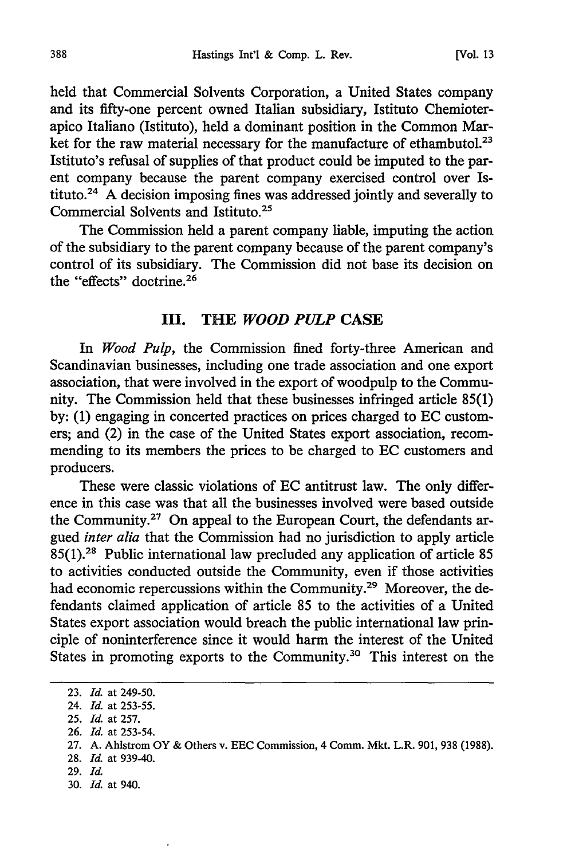held that Commercial Solvents Corporation, a United States company and its fifty-one percent owned Italian subsidiary, Istituto Chemioterapico Italiano (Istituto), held a dominant position in the Common Market for the raw material necessary for the manufacture of ethambutol.<sup>23</sup> Istituto's refusal of supplies of that product could be imputed to the parent company because the parent company exercised control over Istituto.<sup>24</sup> A decision imposing fines was addressed jointly and severally to Commercial Solvents and Istituto.<sup>25</sup>

The Commission held a parent company liable, imputing the action of the subsidiary to the parent company because of the parent company's control of its subsidiary. The Commission did not base its decision on the "effects" doctrine.26

#### **III.** THE *WOOD PULP* **CASE**

In *Wood Pulp,* the Commission fined forty-three American and Scandinavian businesses, including one trade association and one export association, that were involved in the export of woodpulp to the Community. The Commission held that these businesses infringed article 85(1) by: (1) engaging in concerted practices on prices charged to EC customers; and (2) in the case of the United States export association, recommending to its members the prices to be charged to EC customers and producers.

These were classic violations of EC antitrust law. The only difference in this case was that all the businesses involved were based outside the Community.27 On appeal to the European Court, the defendants argued *inter alia* that the Commission had no jurisdiction to apply article 85(l).28 Public international law precluded any application of article 85 to activities conducted outside the Community, even if those activities had economic repercussions within the Community.<sup>29</sup> Moreover, the defendants claimed application of article 85 to the activities of a United States export association would breach the public international law principle of noninterference since it would harm the interest of the United States in promoting exports to the Community.<sup>30</sup> This interest on the

26. *Id.* at 253-54.

- 29. *Id.*
- 30. *Id.* at 940.

<sup>23.</sup> *Id.* at 249-50.

<sup>24.</sup> *Id.* at 253-55.

<sup>25.</sup> *Id.* at 257.

<sup>27.</sup> A. Ahlstrom OY & Others v. EEC Commission, 4 Comm. Mkt. L.R. 901, 938 (1988).

<sup>28.</sup> *Id.* at 939-40.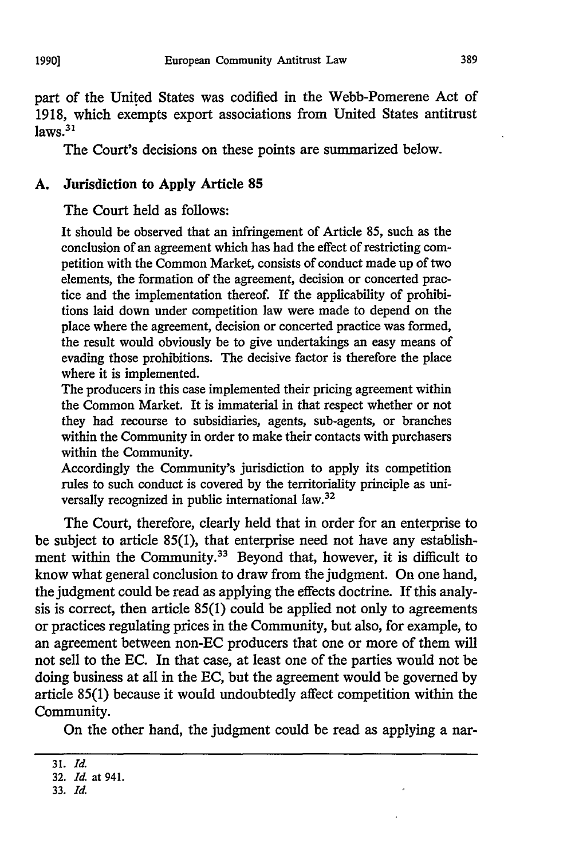part of the United States was codified in the Webb-Pomerene Act of 1918, which exempts export associations from United States antitrust  $laws.<sup>31</sup>$ 

The Court's decisions on these points are summarized below.

#### **A. Jurisdiction to Apply** Article **85**

The Court held as follows:

It should be observed that an infringement of Article 85, such as the conclusion of an agreement which has had the effect of restricting competition with the Common Market, consists of conduct made up of two elements, the formation of the agreement, decision or concerted practice and the implementation thereof. If the applicability of prohibitions laid down under competition law were made to depend on the place where the agreement, decision or concerted practice was formed, the result would obviously be to give undertakings an easy means of evading those prohibitions. The decisive factor is therefore the place where it is implemented.

The producers in this case implemented their pricing agreement within the Common Market. It is immaterial in that respect whether or not they had recourse to subsidiaries, agents, sub-agents, or branches within the Community in order to make their contacts with purchasers within the Community.

Accordingly the Community's jurisdiction to apply its competition rules to such conduct is covered by the territoriality principle as universally recognized in public international law.<sup>32</sup>

The Court, therefore, clearly held that in order for an enterprise to be subject to article 85(1), that enterprise need not have any establishment within the Community.<sup>33</sup> Beyond that, however, it is difficult to know what general conclusion to draw from the judgment. On one hand, the judgment could be read as applying the effects doctrine. If this analysis is correct, then article 85(1) could be applied not only to agreements or practices regulating prices in the Community, but also, for example, to an agreement between non-EC producers that one or more of them will not sell to the EC. In that case, at least one of the parties would not be doing business at all in the EC, but the agreement would be governed by article 85(1) because it would undoubtedly affect competition within the Community.

On the other hand, the judgment could be read as applying a nar-

<sup>31.</sup> *Id.*

<sup>32.</sup> *Id.* at 941.

<sup>33.</sup> *Id.*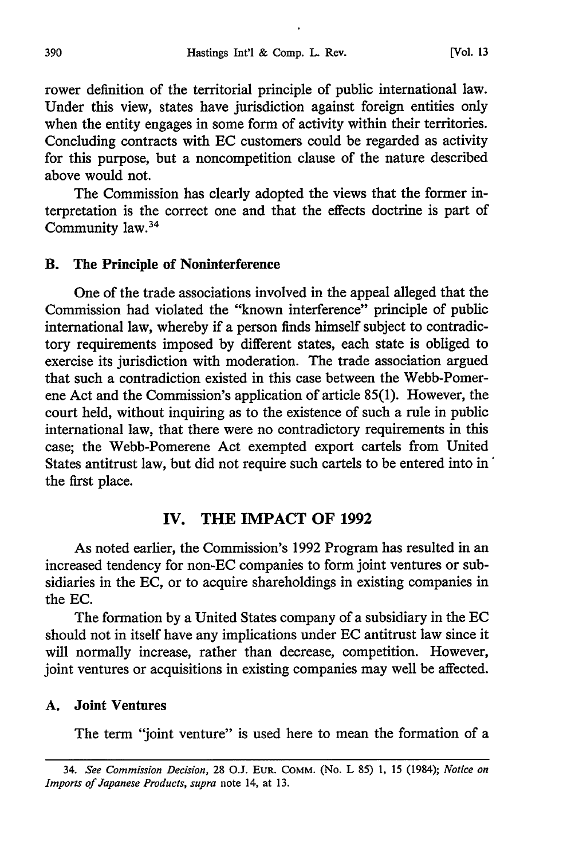rower definition of the territorial principle of public international law. Under this view, states have jurisdiction against foreign entities only when the entity engages in some form of activity within their territories. Concluding contracts with EC customers could be regarded as activity for this purpose, but a noncompetition clause of the nature described above would not.

The Commission has clearly adopted the views that the former interpretation is the correct one and that the effects doctrine is part of Community law.34

#### B. The Principle of **Noninterference**

One of the trade associations involved in the appeal alleged that the Commission had violated the "known interference" principle of public international law, whereby if a person finds himself subject to contradictory requirements imposed by different states, each state is obliged to exercise its jurisdiction with moderation. The trade association argued that such a contradiction existed in this case between the Webb-Pomerene Act and the Commission's application of article 85(1). However, the court held, without inquiring as to the existence of such a rule in public international law, that there were no contradictory requirements in this case; the Webb-Pomerene Act exempted export cartels from United States antitrust law, but did not require such cartels to be entered into in' the first place.

## IV. THE IMPACT OF **1992**

As noted earlier, the Commission's 1992 Program has resulted in an increased tendency for non-EC companies to form joint ventures or subsidiaries in the EC, or to acquire shareholdings in existing companies in the EC.

The formation by a United States company of a subsidiary in the EC should not in itself have any implications under EC antitrust law since it will normally increase, rather than decrease, competition. However, joint ventures or acquisitions in existing companies may well be affected.

#### **A. Joint Ventures**

The term "joint venture" is used here to mean the formation of a

<sup>34.</sup> *See Commission Decision,* 28 O.J. **EUR.** COMM. (No. L 85) 1, 15 (1984); *Notice on Imports of Japanese Products, supra* note 14, at 13.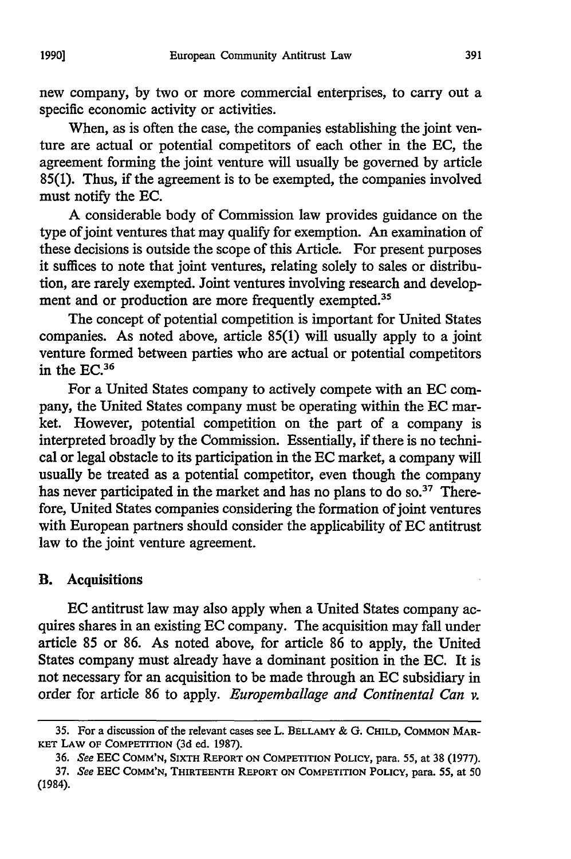new company, by two or more commercial enterprises, to carry out a specific economic activity or activities.

When, as is often the case, the companies establishing the joint venture are actual or potential competitors of each other in the EC, the agreement forming the joint venture will usually be governed by article 85(1). Thus, if the agreement is to be exempted, the companies involved must notify the EC.

A considerable body of Commission law provides guidance on the type of joint ventures that may qualify for exemption. An examination of these decisions is outside the scope of this Article. For present purposes it suffices to note that joint ventures, relating solely to sales or distribution, are rarely exempted. Joint ventures involving research and development and or production are more frequently exempted.<sup>35</sup>

The concept of potential competition is important for United States companies. As noted above, article 85(1) will usually apply to a joint venture formed between parties who are actual or potential competitors in the **EC.36**

For a United States company to actively compete with an EC company, the United States company must be operating within the **EC** market. However, potential competition on the part of a company is interpreted broadly by the Commission. Essentially, if there is no technical or legal obstacle to its participation in the EC market, a company will usually be treated as a potential competitor, even though the company has never participated in the market and has no plans to do so.<sup>37</sup> Therefore, United States companies considering the formation of joint ventures with European partners should consider the applicability of **EC** antitrust law to the joint venture agreement.

## B. Acquisitions

**EC** antitrust law may also apply when a United States company acquires shares in an existing **EC** company. The acquisition may fall under article **85** or **86.** As noted above, for article **86** to apply, the United States company must already have a dominant position in the **EC.** It is not necessary for an acquisition to be made through an **EC** subsidiary in order for article 86 to apply. *Europemballage and Continental Can v.*

<sup>35.</sup> For a discussion of the relevant cases see L. BELLAMY & G. CHILD, **COMMON** MAR-**KET** LAW OF **COMPETITION** (3d ed. 1987).

<sup>36.</sup> See **EEC COMM'N,** SIXTH REPORT **ON** COMPETITION POLICY, para. 55, at 38 (1977).

<sup>37.</sup> See **EEC COMM'N,** THIRTEENTH REPORT **ON COMPETITION POLICY,** para. 55, at 50 (1984).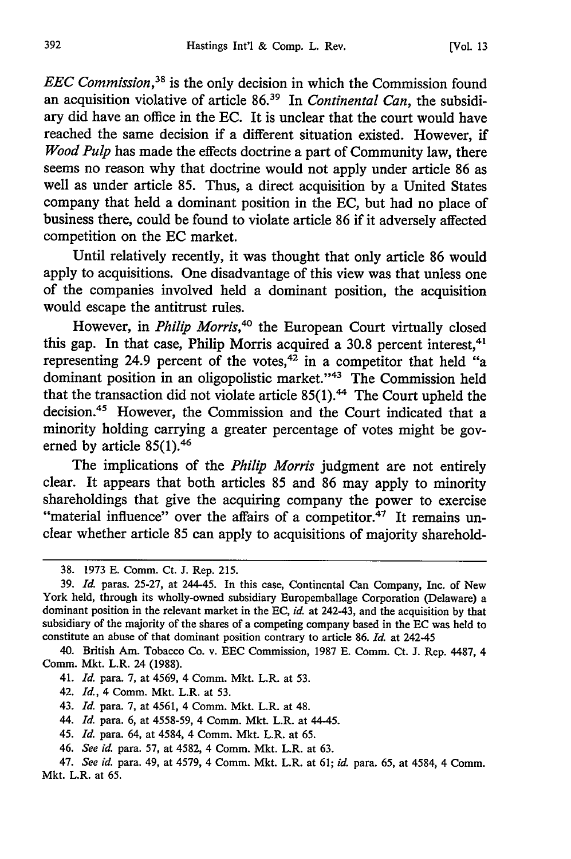*EEC Commission,38* is the only decision in which the Commission found an acquisition violative of article **86."** In *Continental Can,* the subsidiary did have an office in the EC. It is unclear that the court would have reached the same decision if a different situation existed. However, if *Wood Pulp* has made the effects doctrine a part of Community law, there seems no reason why that doctrine would not apply under article 86 as well as under article 85. Thus, a direct acquisition by a United States company that held a dominant position in the EC, but had no place of business there, could be found to violate article 86 if it adversely affected competition on the EC market.

Until relatively recently, it was thought that only article 86 would apply to acquisitions. One disadvantage of this view was that unless one of the companies involved held a dominant position, the acquisition would escape the antitrust rules.

However, in *Philip Morris*,<sup>40</sup> the European Court virtually closed this gap. In that case, Philip Morris acquired a 30.8 percent interest,  $41$ representing 24.9 percent of the votes, $42$  in a competitor that held "a dominant position in an oligopolistic market."<sup>43</sup> The Commission held that the transaction did not violate article  $85(1)$ .<sup>44</sup> The Court upheld the decision.45 However, the Commission and the Court indicated that a minority holding carrying a greater percentage of votes might be governed by article 85(1).<sup>46</sup>

The implications of the *Philip Morris* judgment are not entirely clear. It appears that both articles 85 and 86 may apply to minority shareholdings that give the acquiring company the power to exercise "material influence" over the affairs of a competitor. $47$  It remains unclear whether article 85 can apply to acquisitions of majority sharehold-

40. British Am. Tobacco Co. v. EEC Commission, 1987 E. Comm. Ct. J. Rep. 4487, 4 Comm. Mkt. L.R. 24 (1988).

- 42. *Id.,* 4 Comm. Mkt. L.R. at 53.
- 43. *Id.* para. 7, at 4561, 4 Comm. Mkt. L.R. at 48.
- 44. *Id.* para. 6, at 4558-59, 4 Comm. Mkt. L.R. at 44-45.
- 45. *Id.* para. 64, at 4584, 4 Comm. Mkt. L.R. at 65.
- 46. *See id.* para. 57, at 4582, 4 Comm. Mkt. L.R. at 63.

<sup>38. 1973</sup> E. Comm. Ct. J. Rep. 215.

<sup>39.</sup> *Id.* paras. 25-27, at 244-45. In this case, Continental Can Company, Inc. of New York held, through its wholly-owned subsidiary Europemballage Corporation (Delaware) a dominant position in the relevant market in the EC, *id.* at 242-43, and the acquisition by that subsidiary of the majority of the shares of a competing company based in the EC was held to constitute an abuse of that dominant position contrary to article 86. *Id.* at 242-45

<sup>41.</sup> *Id.* para. 7, at 4569, 4 Comm. Mkt. L.R. at 53.

<sup>47.</sup> *See id.* para. 49, at 4579, 4 Comm. Mkt. L.R. at 61; *id.* para. 65, at 4584, 4 Comm. Mkt. L.R. at 65.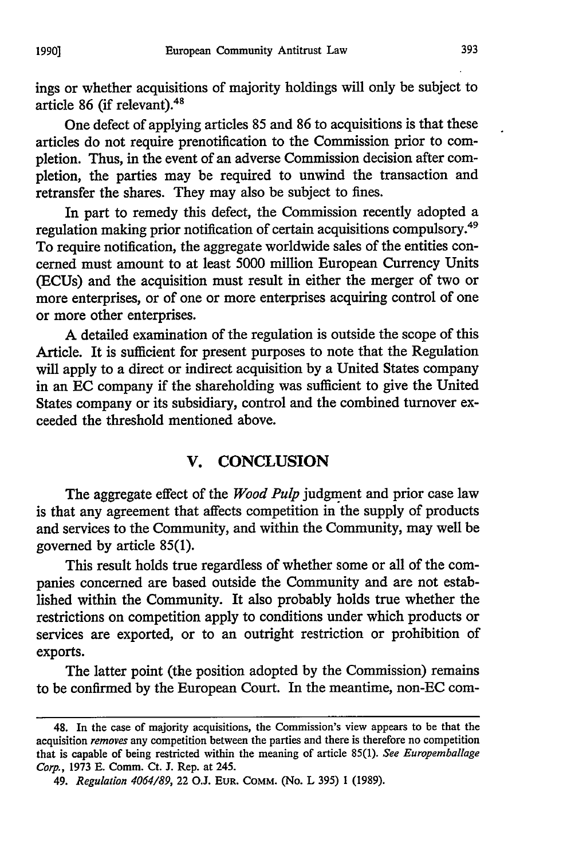ings or whether acquisitions of majority holdings will only be subject to article 86 (if relevant).<sup>41</sup>

One defect of applying articles 85 and 86 to acquisitions is that these articles do not require prenotification to the Commission prior to completion. Thus, in the event of an adverse Commission decision after completion, the parties may be required to unwind the transaction and retransfer the shares. They may also be subject to fines.

In part to remedy this defect, the Commission recently adopted a regulation making prior notification of certain acquisitions compulsory.49 To require notification, the aggregate worldwide sales of the entities concerned must amount to at least 5000 million European Currency Units (ECUs) and the acquisition must result in either the merger of two or more enterprises, or of one or more enterprises acquiring control of one or more other enterprises.

A detailed examination of the regulation is outside the scope of this Article. It is sufficient for present purposes to note that the Regulation will apply to a direct or indirect acquisition by a United States company in an **EC** company if the shareholding was sufficient to give the United States company or its subsidiary, control and the combined turnover exceeded the threshold mentioned above.

# V. **CONCLUSION**

The aggregate effect of the *Wood Pulp* judgment and prior case law is that any agreement that affects competition in the supply of products and services to the Community, and within the Community, may well be governed by article 85(1).

This result holds true regardless of whether some or all of the companies concerned are based outside the Community and are not established within the Community. It also probably holds true whether the restrictions on competition apply to conditions under which products or services are exported, or to an outright restriction or prohibition of exports.

The latter point (the position adopted by the Commission) remains to be confirmed by the European Court. In the meantime, non-EC com-

393

<sup>48.</sup> In the case of majority acquisitions, the Commission's view appears to be that the acquisition *removes* any competition between the parties and there is therefore no competition that is capable of being restricted within the meaning of article 85(1). *See Europemballage Corp.,* 1973 E. Comm. Ct. J. Rep. at 245.

<sup>49.</sup> *Regulation 4064/89,* 22 O.J. **EUR.** COMM. (No. L 395) **1** (1989).